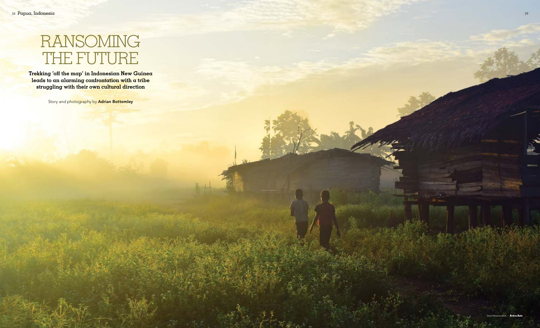

**Trekking 'off the map' in Indonesian New Guinea leads to an alarming confrontation with a tribe struggling with their own cultural direction**

Story and photography by Adrian Bottomley

# RANSOMING THE FUTURE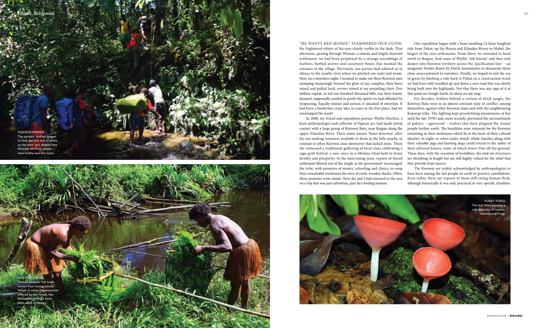— July/August 2016

"HE WANTS RED MONEY," STAMMERED OUR GUIDE, the frightened whites of his eyes clearly visible in the dark. That afternoon, passing through Woman, a remote and largely deserted settlement, we had been perplexed by a strange assemblage of feathers, barbed arrows and cassowary bones that marked the entrance to the village. Nervously, our porters had ushered us in silence to the nearby river where we pitched our tents and swam. Now, on a moonless night, I strained to make out three Korowai men stomping menacingly beyond the glow of our campfire, their bows raised and pulled back, arrows aimed at my pounding chest. Five million rupiah, in red one hundred thousand bills, was their frantic demand, supposedly needed to pacify the spirits we had offended by trespassing. Equally sinister and surreal, it smacked of extortion. It had been a borderline crazy idea to come in the first place; had we overstepped the mark? Our expedition began with a bum-numbing 12-hour longboat ride from Dekai, up the Brazza and Eilanden Rivers to Mabul, the largest of the new settlements. From there, we intended to head north to Baigun, find some of Phyllis' 'old friends' and then trek deeper into Korowai territory across the 'pacification line' – an imaginary border drawn by Dutch missionaries to demarcate those clans unaccustomed to outsiders. Finally, we hoped to exit the sea of green by hitching a ride back to Dekai on a construction truck we had been told trundled up and down a new road that was slowly being built into the highlands. Not that there was any sign of it at that point on Google Earth, let alone on any map. For decades, hidden behind a curtain of thick jungle, the Korowai Batu were in an almost constant state of conflict: among themselves, against other Korowai clans and with the neighbouring Kopayap tribe. The fighting kept proselytizing missionaries at bay

AGE-OLD SKILLS Women prepare fish traps, woven from forest leaves. Adept at using the resources offered by the forest, the Korowai seemingly have little need of mo



In 2008, my friend and expedition partner, Phyllis Hischier, a keen anthropologist and collector of Papuan art, had made initial contact with a large group of Korowai Batu, near Baigun along the upper Eilanden River. Their name means 'Stone Korowai', after the axe-making resources available to them in the hills nearby, in contrast to other Korowai clans downriver that lacked stone. There she witnessed a traditional gathering of local clans celebrating a sago grub festival: a rare, once-in-a-lifetime ritual held to foster fertility and prosperity. In the intervening years, reports of forced settlement filtered out of the jungle as the government 'encouraged' the tribe, with promises of money, schooling and clinics, to swap their remarkable treehouses for rows of rustic wooden shacks. Often, those promises went unmet. Now she and I had returned to the area on a trip that was part adventure, part fact-finding mission. of gaharu – agarwood – traders that have plagued the Asmat people further south. The hostilities were rationale for the Korowai remaining in their treehouses which lie at the heart of their cultural identity. At night, or when under attack, whole families along with their valuable pigs and hunting dogs could retreat to the safety of their arboreal homes, some of which tower 35m off the ground. These days, with the cessation of hostilities, the mid-air structures are shrinking in height but are still highly valued for the relief that they provide from insects. The Korowai are widely acknowledged by anthropologists to have been among the last people on earth to practice cannibalism. Even today, there are reports of them still eating human flesh, although historically it was only practiced in very specific ritualistic

until the late 1970's and, more recently, prevented the encroachment

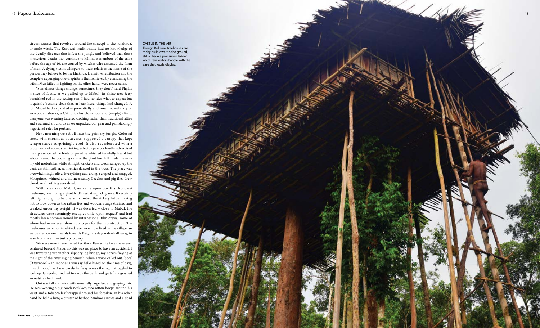

circumstances that revolved around the concept of the 'khakhua', or male witch. The Korowai traditionally had no knowledge of the deadly diseases that infest the jungle and believed that these mysterious deaths that continue to kill most members of the tribe before the age of 40, are caused by witches who assumed the form of men. A dying victim whispers to their relatives the name of the person they believe to be the khakhua. Definitive retribution and the complete expunging of evil spirits is then achieved by consuming the witch. Men killed in fighting on the other hand, were never eaten.

"Sometimes things change, sometimes they don't," said Phyllis matter-of-factly, as we pulled up to Mabul, its shiny new jetty burnished red in the setting sun. I had no idea what to expect but it quickly became clear that, at least here, things had changed. A lot. Mabul had expanded exponentially and now housed sixty or so wooden shacks, a Catholic church, school and (empty) clinic. Everyone was wearing tattered clothing rather than traditional attire and swarmed around us as we unpacked our gear and painstakingly negotiated rates for porters.

Next morning we set off into the primary jungle. Colossal trees, with enormous buttresses, supported a canopy that kept temperatures surprisingly cool. It also reverberated with a cacophony of sounds: shrieking eclectus parrots loudly advertised their presence, while birds of paradise whistled tunefully, heard but seldom seen. The booming calls of the giant hornbill made me miss my old motorbike, while at night, crickets and toads ramped up the decibels still further, as fireflies danced in the trees. The place was overwhelmingly alive. Everything cut, clung, scraped and snagged. Mosquitoes whined and bit incessantly. Leeches and pig flies drew blood. And nothing ever dried.

Within a day of Mabul, we came upon our first Korowai treehouse, resembling a giant bird's nest at a quick glance. It certainly felt high enough to be one as I climbed the rickety ladder, trying not to look down as the rattan ties and wooden rungs strained and creaked under my weight. It was deserted – close to Mabul, the structures were seemingly occupied only 'upon request' and had mostly been commissioned by international film crews, some of whom had never even shown up to pay for their construction. The treehouses were not inhabited: everyone now lived in the village, so we pushed on northwards towards Baigun, a day-and-a-half away, in search of more than just a photo-op.

We were now in uncharted territory. Few white faces have ever ventured beyond Mabul so this was no place to have an accident. I was traversing yet another slippery log bridge, my nerves fraying at the sight of the river raging beneath, when I voice called out. 'Sore' ('Afternoon' – in Indonesia you say hello based on the time of day), it said, though as I was barely halfway across the log, I struggled to look up. Gingerly, I inched towards the bank and gratefully grasped an outstretched hand.

Oni was tall and wiry, with unusually large feet and greying hair. He was wearing a pig-tooth necklace, two rattan hoops around his waist and a tobacco leaf wrapped around his foreskin. In his other hand he held a bow, a cluster of barbed bamboo arrows and a dead

CASTLE IN THE AIR Though Kokowai treehouses are today built lower to the ground, still all have a precarious ladder which few visitors handle with the ease that locals display.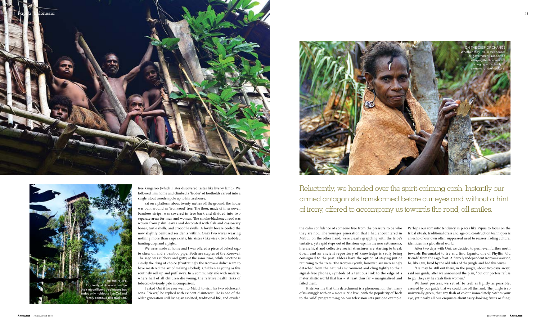tree kangaroo (which I later discovered tastes like liver-y lamb). We followed him home and climbed a 'ladder' of footholds carved into a single, stout wooden pole up to his treehouse.

Sat on a platform about twenty metres off the ground, the house was built around an 'ironwood' tree. The floor, made of interwoven bamboo strips, was covered in tree bark and divided into two separate areas for men and women. The smoke-blackened roof was woven from palm leaves and decorated with fish and cassowary bones, turtle shells, and crocodile skulls. A lovely breeze cooled the now slightly bemused residents within: Oni's two wives wearing nothing more than sago skirts, his sister (likewise), two hobbled hunting dogs and a piglet.



We were made at home and I was offered a piece of baked sago to chew on and a bamboo pipe. Both are staples of the Korowai. The sago was rubbery and gritty at the same time, while nicotine is clearly the drug of choice (frustratingly the Korowai didn't seem to have mastered the art of making alcohol). Children as young as five routinely roll up and puff away. In a community rife with malaria, where half of all children die young, the relative health risks of tobacco obviously pale in comparison.

I asked Oni if he ever went to Mabul to visit his two adolescent sons. "Never," he replied with evident disinterest. He is one of the older generation still living an isolated, traditional life, and exuded

It strikes me that this detachment is a phenomenon that many of us struggle with on a more subtle level, with the popularity of 'back to the wild' programming on our television sets just one example.

the calm confidence of someone free from the pressure to be who they are not. The younger generation that I had encountered in Mabul, on the other hand, were clearly grappling with the tribe's tentative, yet rapid steps out of the stone-age. In the new settlements, hierarchical and collective social structures are starting to break down and an ancient repository of knowledge is sadly being consigned to the past. Elders have the option of staying put or returning to the trees. The Korowai youth, however, are increasingly detached from the natural environment and cling tightly to their signal-free phones, symbols of a tenuous link to the edge of a materialistic world that has – at least thus far – marginalised and failed them. Perhaps our romantic tendency in places like Papua to focus on the tribal rituals, traditional dress and age-old construction techniques is an echo of our own often suppressed need to reassert fading cultural identities in a globalised world. After two days with Oni, we decided to push even further north towards Burumakot to try and find Uganto, one of Phyllis' 'old friends' from the sago feast. A fiercely independent Korowai warrior, he, like Oni, lived by the old rules of the jungle and had five wives. "He may be still out there, in the jungle, about two days away," said our guide, after we announced the plan, "but our porters refuse to go. They say he steals their women." Without porters, we set off to trek as lightly as possible,

assured by our guide that we could live off the land. The jungle is so universally green, that any flash of colour immediately catches your eye, yet nearly all our enquiries about tasty-looking fruits or fungi





Reluctantly, we handed over the spirit-calming cash. Instantly our armed antagonists transformed before our eyes and without a hint of irony, offered to accompany us towards the road, all smiles.